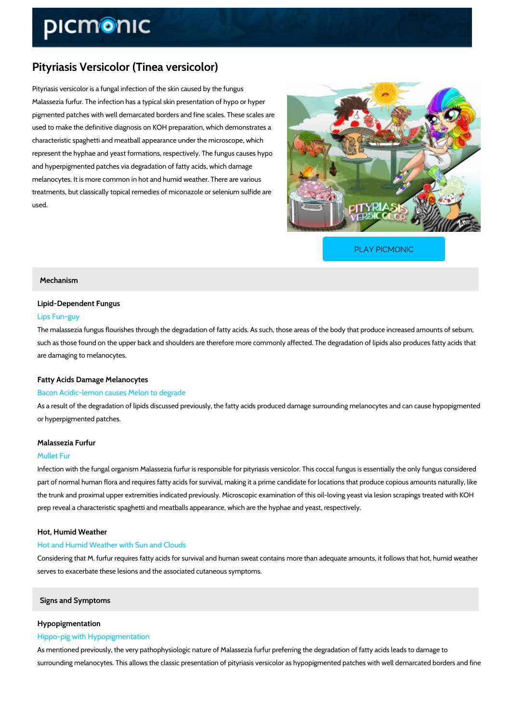# Pityriasis Versicolor (Tinea versicolor)

Pityriasis versicolor is a fungal infection of the skin caused by the fungus Malassezia furfur. The infection has a typical skin presentation of hypo or hyper pigmented patches with well demarcated borders and fine scales. These scales are used to make the definitive diagnosis on KOH preparation, which demonstrates a characteristic spaghetti and meatball appearance under the microscope, which represent the hyphae and yeast formations, respectively. The fungus causes hypo and hyperpigmented patches via degradation of fatty acids, which damage melanocytes. It is more common in hot and humid weather. There are various treatments, but classically topical remedies of miconazole or selenium sulfide are used.

[PLAY PICMONIC](https://www.picmonic.com/learn/pityriasis-versicolor-tinea-versicolor_5055?utm_source=downloadable_content&utm_medium=distributedcontent&utm_campaign=pathways_pdf&utm_content=Pityriasis Versicolor (Tinea versicolor)&utm_ad_group=leads&utm_market=all)

## Mechanism

## Lipid-Dependent Fungus

#### Lips Fun-guy

The malassezia fungus flourishes through the degradation of fatty acids. As such, those areas such as those found on the upper back and shoulders are therefore more commonly affected. The degradation of li are damaging to melanocytes.

## Fatty Acids Damage Melanocytes

## Bacon Acidic-lemon causes Melon to degrade

As a result of the degradation of lipids discussed previously, the fatty acids produced damage or hyperpigmented patches.

## Malassezia Furfur

#### Mullet Fur

Infection with the fungal organism Malassezia furfur is responsible for pityriasis versicolor. T part of normal human flora and requires fatty acids for survival, making it a prime candidate f the trunk and proximal upper extremities indicated previously. Microscopic examination of this prep reveal a characteristic spaghetti and meatballs appearance, which are the hyphae and ye

Hot, Humid Weather

#### Hot and Humid Weather with Sun and Clouds

Considering that M. furfur requires fatty acids for survival and human sweat contains more that serves to exacerbate these lesions and the associated cutaneous symptoms.

## Signs and Symptoms

#### Hypopigmentation

#### Hippo-pig with Hypopigmentation

As mentioned previously, the very pathophysiologic nature of Malassezia furfur preferring the surrounding melanocytes. This allows the classic presentation of pityriasis versicolor as hypo